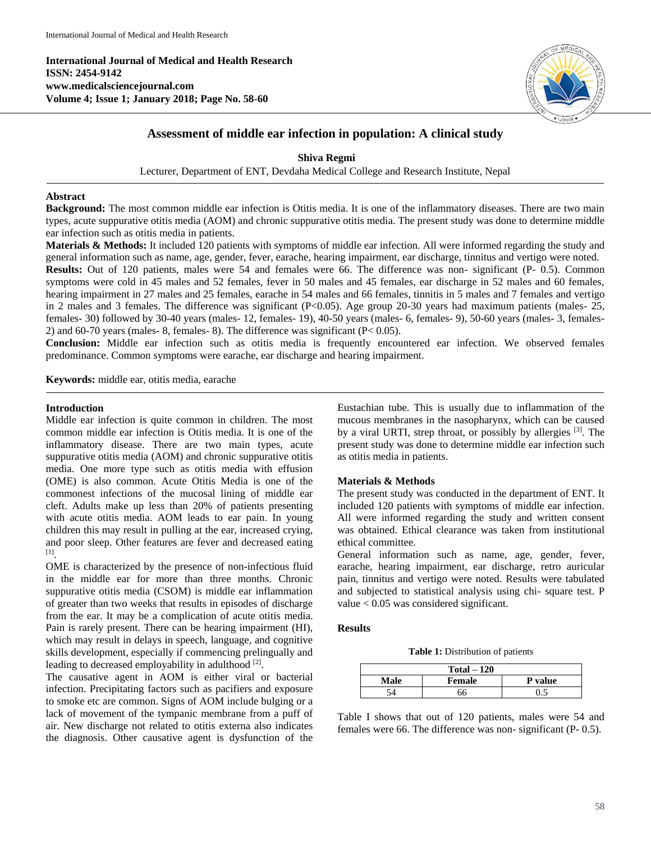**International Journal of Medical and Health Research ISSN: 2454-9142 www.medicalsciencejournal.com Volume 4; Issue 1; January 2018; Page No. 58-60**



# **Assessment of middle ear infection in population: A clinical study**

**Shiva Regmi**

Lecturer, Department of ENT, Devdaha Medical College and Research Institute, Nepal

# **Abstract**

**Background:** The most common middle ear infection is Otitis media. It is one of the inflammatory diseases. There are two main types, acute suppurative otitis media (AOM) and chronic suppurative otitis media. The present study was done to determine middle ear infection such as otitis media in patients.

**Materials & Methods:** It included 120 patients with symptoms of middle ear infection. All were informed regarding the study and general information such as name, age, gender, fever, earache, hearing impairment, ear discharge, tinnitus and vertigo were noted. **Results:** Out of 120 patients, males were 54 and females were 66. The difference was non- significant (P- 0.5). Common symptoms were cold in 45 males and 52 females, fever in 50 males and 45 females, ear discharge in 52 males and 60 females, hearing impairment in 27 males and 25 females, earache in 54 males and 66 females, tinnitis in 5 males and 7 females and vertigo in 2 males and 3 females. The difference was significant (P<0.05). Age group 20-30 years had maximum patients (males- 25, females- 30) followed by 30-40 years (males- 12, females- 19), 40-50 years (males- 6, females- 9), 50-60 years (males- 3, females-2) and 60-70 years (males- 8, females- 8). The difference was significant ( $P < 0.05$ ).

**Conclusion:** Middle ear infection such as otitis media is frequently encountered ear infection. We observed females predominance. Common symptoms were earache, ear discharge and hearing impairment.

**Keywords:** middle ear, otitis media, earache

#### **Introduction**

Middle ear infection is quite common in children. The most common middle ear infection is Otitis media. It is one of the inflammatory disease. There are two main types, acute suppurative otitis media (AOM) and chronic suppurative otitis media. One more type such as otitis media with effusion (OME) is also common. Acute Otitis Media is one of the commonest infections of the mucosal lining of middle ear cleft. Adults make up less than 20% of patients presenting with acute otitis media. AOM leads to ear pain. In young children this may result in pulling at the ear, increased crying, and poor sleep. Other features are fever and decreased eating [1] .

OME is characterized by the presence of non-infectious fluid in the middle ear for more than three months. Chronic suppurative otitis media (CSOM) is middle ear inflammation of greater than two weeks that results in episodes of discharge from the ear. It may be a complication of acute otitis media. Pain is rarely present. There can be hearing impairment (HI), which may result in delays in speech, language, and cognitive skills development, especially if commencing prelingually and leading to decreased employability in adulthood [2].

The causative agent in AOM is either viral or bacterial infection. Precipitating factors such as pacifiers and exposure to smoke etc are common. Signs of AOM include bulging or a lack of movement of the tympanic membrane from a puff of air. New discharge not related to otitis externa also indicates the diagnosis. Other causative agent is dysfunction of the Eustachian tube. This is usually due to inflammation of the mucous membranes in the nasopharynx, which can be caused by a viral URTI, strep throat, or possibly by allergies <sup>[3]</sup>. The present study was done to determine middle ear infection such as otitis media in patients.

## **Materials & Methods**

The present study was conducted in the department of ENT. It included 120 patients with symptoms of middle ear infection. All were informed regarding the study and written consent was obtained. Ethical clearance was taken from institutional ethical committee.

General information such as name, age, gender, fever, earache, hearing impairment, ear discharge, retro auricular pain, tinnitus and vertigo were noted. Results were tabulated and subjected to statistical analysis using chi- square test. P value < 0.05 was considered significant.

#### **Results**

**Table 1:** Distribution of patients

| $Total - 120$ |        |                |  |  |  |  |
|---------------|--------|----------------|--|--|--|--|
| Male          | Female | <b>P</b> value |  |  |  |  |
|               |        |                |  |  |  |  |

Table I shows that out of 120 patients, males were 54 and females were 66. The difference was non- significant (P- 0.5).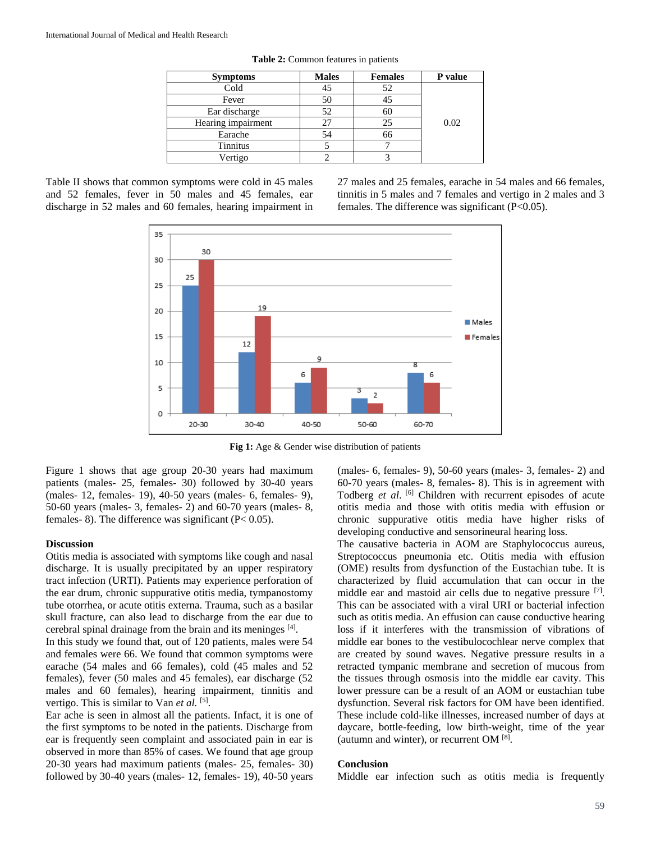| <b>Symptoms</b>    | <b>Males</b> | <b>Females</b> | P value |
|--------------------|--------------|----------------|---------|
| Cold               | 45           |                |         |
| Fever              | 50           |                |         |
| Ear discharge      | 52           |                |         |
| Hearing impairment | 27           | 25             | 0.02    |
| Earache            | 54           |                |         |
| <b>Tinnitus</b>    |              |                |         |
| Vertigo            |              |                |         |

**Table 2:** Common features in patients

|  |  |  |  | Table II shows that common symptoms were cold in 45 males   |  |
|--|--|--|--|-------------------------------------------------------------|--|
|  |  |  |  | and 52 females, fever in 50 males and 45 females, ear       |  |
|  |  |  |  | discharge in 52 males and 60 females, hearing impairment in |  |

27 males and 25 females, earache in 54 males and 66 females, tinnitis in 5 males and 7 females and vertigo in 2 males and 3 females. The difference was significant  $(P<0.05)$ .



**Fig 1:** Age & Gender wise distribution of patients

Figure 1 shows that age group 20-30 years had maximum patients (males- 25, females- 30) followed by 30-40 years (males- 12, females- 19), 40-50 years (males- 6, females- 9), 50-60 years (males- 3, females- 2) and 60-70 years (males- 8, females- 8). The difference was significant  $(P< 0.05)$ .

## **Discussion**

Otitis media is associated with symptoms like cough and nasal discharge. It is usually precipitated by an upper respiratory tract infection (URTI). Patients may experience perforation of the ear drum, chronic suppurative otitis media, tympanostomy tube otorrhea, or acute otitis externa. Trauma, such as a basilar skull fracture, can also lead to discharge from the ear due to cerebral spinal drainage from the brain and its meninges [4].

In this study we found that, out of 120 patients, males were 54 and females were 66. We found that common symptoms were earache (54 males and 66 females), cold (45 males and 52 females), fever (50 males and 45 females), ear discharge (52 males and 60 females), hearing impairment, tinnitis and vertigo. This is similar to Van et al. [5].

Ear ache is seen in almost all the patients. Infact, it is one of the first symptoms to be noted in the patients. Discharge from ear is frequently seen complaint and associated pain in ear is observed in more than 85% of cases. We found that age group 20-30 years had maximum patients (males- 25, females- 30) followed by 30-40 years (males- 12, females- 19), 40-50 years (males- 6, females- 9), 50-60 years (males- 3, females- 2) and 60-70 years (males- 8, females- 8). This is in agreement with Todberg *et al*. [6] Children with recurrent episodes of acute otitis media and those with otitis media with effusion or chronic suppurative otitis media have higher risks of developing conductive and sensorineural hearing loss.

The causative bacteria in AOM are Staphylococcus aureus, Streptococcus pneumonia etc. Otitis media with effusion (OME) results from dysfunction of the Eustachian tube. It is characterized by fluid accumulation that can occur in the middle ear and mastoid air cells due to negative pressure [7]. This can be associated with a viral URI or bacterial infection such as otitis media. An effusion can cause conductive hearing loss if it interferes with the transmission of vibrations of middle ear bones to the vestibulocochlear nerve complex that are created by sound waves. Negative pressure results in a retracted tympanic membrane and secretion of mucous from the tissues through osmosis into the middle ear cavity. This lower pressure can be a result of an AOM or eustachian tube dysfunction. Several risk factors for OM have been identified. These include cold-like illnesses, increased number of days at daycare, bottle-feeding, low birth-weight, time of the year (autumn and winter), or recurrent OM [8].

#### **Conclusion**

Middle ear infection such as otitis media is frequently